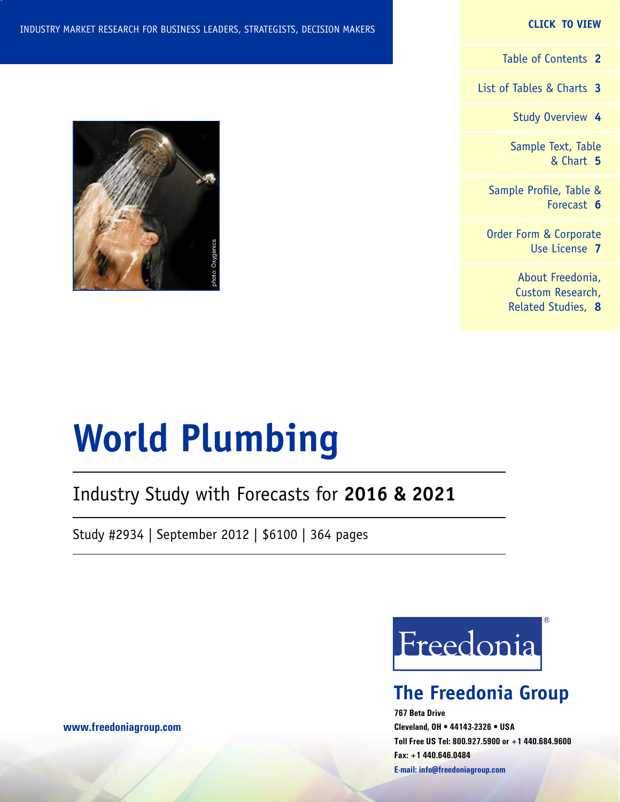#### **CLICK TO VIEW**

[Table of Contents](#page-1-0) **2**

[List of Tables & Charts](#page-2-0) **3**

[Study Overview](#page-3-0) **4**

[Sample Text, Table](#page-4-0) [& Chart](#page-4-0) **5**

[Sample Profile, Table &](#page-5-0) [Forecast](#page-5-0) **6**

[Order Form & Corporate](#page-6-0) [Use License](#page-6-0) **7**

> [About Freedonia,](#page-7-0) [Custom Research,](#page-7-0) [Related Studies,](#page-7-0) **8**



# **World Plumbing**

## Industry Study with Forecasts for **2016 & 2021**

Study #2934 | September 2012 | \$6100 | 364 pages



## **The Freedonia Group**

**767 Beta Drive Cleveland, OH • 44143-2326 • USA Toll Free US Tel: 800.927.5900 or +1 440.684.9600 Fax: +1 440.646.0484 E-mail: [info@freedoniagroup.com](mailto:info@freedoniagroup.com)**

**[www.freedoniagroup.com](http://www.freedoniagroup.com/Home.aspx?ReferrerId=FM-Bro)**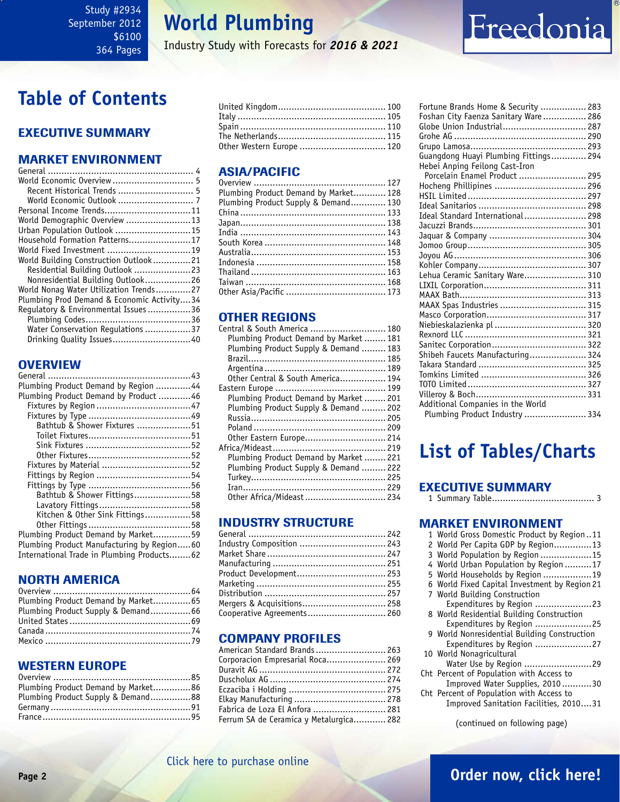# **World Plumbing**

Industry Study with Forecasts for *2016 & 2021*

# <span id="page-1-0"></span>**Table of Contents**

## Executive Summary

## Market EnvironmenT

| World Economic Outlook  7                  |  |
|--------------------------------------------|--|
| Personal Income Trends11                   |  |
| World Demographic Overview 13              |  |
| Urban Population Outlook 15                |  |
| Household Formation Patterns17             |  |
| World Fixed Investment 19                  |  |
| World Building Construction Outlook21      |  |
| Residential Building Outlook 23            |  |
| Nonresidential Building Outlook26          |  |
| World Nonag Water Utilization Trends27     |  |
| Plumbing Prod Demand & Economic Activity34 |  |
| Regulatory & Environmental Issues36        |  |
|                                            |  |
| Water Conservation Regulations 37          |  |
|                                            |  |

## **OVERVIEW**

| Plumbing Product Demand by Region 44       |  |
|--------------------------------------------|--|
| Plumbing Product Demand by Product 46      |  |
|                                            |  |
|                                            |  |
| Bathtub & Shower Fixtures 51               |  |
|                                            |  |
|                                            |  |
|                                            |  |
|                                            |  |
|                                            |  |
|                                            |  |
| Bathtub & Shower Fittings58                |  |
|                                            |  |
| Kitchen & Other Sink Fittings58            |  |
|                                            |  |
| Plumbing Product Demand by Market59        |  |
| Plumbing Product Manufacturing by Region60 |  |
| International Trade in Plumbing Products62 |  |

## NORTH AMERICA

| Plumbing Product Demand by Market65 |  |
|-------------------------------------|--|
| Plumbing Product Supply & Demand66  |  |
|                                     |  |
|                                     |  |
|                                     |  |

## WESTERN EUROPE

| Plumbing Product Demand by Market86 |  |
|-------------------------------------|--|
| Plumbing Product Supply & Demand88  |  |
|                                     |  |
|                                     |  |

| Other Western Europe  120 |  |
|---------------------------|--|

## ASIA/PACIFIC

| Plumbing Product Demand by Market 128 |  |
|---------------------------------------|--|
| Plumbing Product Supply & Demand 130  |  |
|                                       |  |
|                                       |  |
|                                       |  |
|                                       |  |
|                                       |  |
|                                       |  |
|                                       |  |
|                                       |  |
|                                       |  |
|                                       |  |

## OTHER REGIONS

| Central & South America  180          |  |
|---------------------------------------|--|
| Plumbing Product Demand by Market 181 |  |
| Plumbing Product Supply & Demand  183 |  |
|                                       |  |
|                                       |  |
| Other Central & South America 194     |  |
|                                       |  |
| Plumbing Product Demand by Market 201 |  |
| Plumbing Product Supply & Demand  202 |  |
|                                       |  |
|                                       |  |
| Other Eastern Europe 214              |  |
|                                       |  |
| Plumbing Product Demand by Market 221 |  |
| Plumbing Product Supply & Demand  222 |  |
|                                       |  |
|                                       |  |
| Other Africa/Mideast  234             |  |
|                                       |  |

## INDUSTRY STRUCTURE

| Industry Composition  243  |  |
|----------------------------|--|
|                            |  |
|                            |  |
| Product Development 253    |  |
|                            |  |
|                            |  |
| Mergers & Acquisitions 258 |  |
| Cooperative Agreements 260 |  |
|                            |  |

## Company Profiles

| American Standard Brands 263            |  |
|-----------------------------------------|--|
| Corporacion Empresarial Roca 269        |  |
|                                         |  |
|                                         |  |
|                                         |  |
|                                         |  |
| Fabrica de Loza El Anfora  281          |  |
| Ferrum SA de Ceramica y Metalurgica 282 |  |

| Fortune Brands Home & Security  283   |  |
|---------------------------------------|--|
| Foshan City Faenza Sanitary Ware 286  |  |
| Globe Union Industrial 287            |  |
|                                       |  |
|                                       |  |
| Guangdong Huayi Plumbing Fittings 294 |  |
| Hebei Anping Feilong Cast-Iron        |  |
| Porcelain Enamel Product  295         |  |
| Hocheng Phillipines  296              |  |
|                                       |  |
|                                       |  |
| Ideal Standard International 298      |  |
|                                       |  |
|                                       |  |
|                                       |  |
|                                       |  |
|                                       |  |
| Lehua Ceramic Sanitary Ware 310       |  |
|                                       |  |
|                                       |  |
| MAAX Spas Industries  315             |  |
|                                       |  |
|                                       |  |
|                                       |  |
|                                       |  |
| Shibeh Faucets Manufacturing 324      |  |
|                                       |  |
|                                       |  |
|                                       |  |
|                                       |  |
| Additional Companies in the World     |  |
| Plumbing Product Industry  334        |  |

Freedonia

# **List of Tables/Charts**

### Executive Summary

1 Summary Table...................................... 3

#### Market EnvironmenT

| 1 World Gross Domestic Product by Region11    |
|-----------------------------------------------|
| 2 World Per Capita GDP by Region13            |
| 3 World Population by Region 15               |
| 4 World Urban Population by Region 17         |
| 5 World Households by Region 19               |
| 6 World Fixed Capital Investment by Region 21 |
| 7 World Building Construction                 |
| Expenditures by Region 23                     |
| 8 World Residential Building Construction     |
| Expenditures by Region 25                     |
| 9 World Nonresidential Building Construction  |
| Expenditures by Region 27                     |
| 10 World Nonagricultural                      |
| Water Use by Region 29                        |
| Cht Percent of Population with Access to      |
| Improved Water Supplies, 201030               |
| Cht Percent of Population with Access to      |
| Improved Sanitation Facilities, 201031        |

(continued on following page)

## [Click here to purchase online](http://www.freedoniagroup.com/DocumentDetails.aspx?Referrerid=FM-Bro&StudyID=2934)

## **Page 2 [Order now, click here!](#page-6-0)**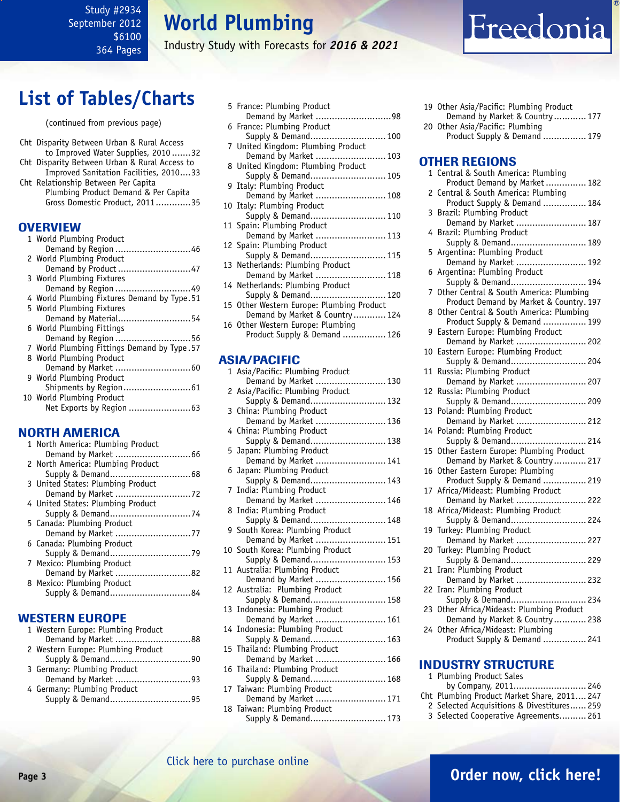# **World Plumbing**

Industry Study with Forecasts for *2016 & 2021*

## <span id="page-2-0"></span>**List of Tables/Charts**

(continued from previous page)

- Cht Disparity Between Urban & Rural Access to Improved Water Supplies, 2010 .......32
- Cht Disparity Between Urban & Rural Access to Improved Sanitation Facilities, 2010....33 Cht Relationship Between Per Capita
- Plumbing Product Demand & Per Capita Gross Domestic Product, 2011.............35

## **OVERVIEW**

| 1 World Plumbing Product                    |
|---------------------------------------------|
| Demand by Region 46                         |
| 2 World Plumbing Product                    |
| Demand by Product 47                        |
| 3 World Plumbing Fixtures                   |
| Demand by Region 49                         |
| 4 World Plumbing Fixtures Demand by Type.51 |
| 5 World Plumbing Fixtures                   |
| Demand by Material54                        |
| 6 World Plumbing Fittings                   |
| Demand by Region 56                         |
| 7 World Plumbing Fittings Demand by Type.57 |
| 8 World Plumbing Product                    |
|                                             |
| 9 World Plumbing Product                    |
| Shipments by Region 61                      |
| 10 World Plumbing Product                   |
|                                             |
|                                             |

## NORTH AMERICA

| 1 North America: Plumbing Product |
|-----------------------------------|
|                                   |
| 2 North America: Plumbing Product |
|                                   |
| 3 United States: Plumbing Product |
| Demand by Market 72               |
| 4 United States: Plumbing Product |
|                                   |
| 5 Canada: Plumbing Product        |
|                                   |
| 6 Canada: Plumbing Product        |
|                                   |
| 7 Mexico: Plumbing Product        |
| Demand by Market 82               |
| 8 Mexico: Plumbing Product        |
| Supply & Demand84                 |
|                                   |

## WESTERN EUROPE

| 1 Western Europe: Plumbing Product |
|------------------------------------|
| Demand by Market 88                |
| 2 Western Europe: Plumbing Product |
|                                    |
|                                    |
|                                    |
|                                    |
|                                    |
| Demand by Market 93                |

|  | 5 France: Plumbing Product                |
|--|-------------------------------------------|
|  | Demand by Market 98                       |
|  | 6 France: Plumbing Product                |
|  | Supply & Demand 100                       |
|  | 7 United Kingdom: Plumbing Product        |
|  | Demand by Market  103                     |
|  | 8 United Kingdom: Plumbing Product        |
|  | Supply & Demand 105                       |
|  | 9 Italy: Plumbing Product                 |
|  | Demand by Market  108                     |
|  | 10 Italy: Plumbing Product                |
|  | Supply & Demand 110                       |
|  | 11 Spain: Plumbing Product                |
|  | Demand by Market  113                     |
|  | 12 Spain: Plumbing Product                |
|  | Supply & Demand 115                       |
|  | 13 Netherlands: Plumbing Product          |
|  | Demand by Market  118                     |
|  | 14 Netherlands: Plumbing Product          |
|  | Supply & Demand 120                       |
|  | 15 Other Western Europe: Plumbing Product |
|  | Demand by Market & Country 124            |
|  | 16 Other Western Europe: Plumbing         |
|  | Product Supply & Demand  126              |
|  |                                           |
|  |                                           |

## ASIA/PACIFIC

| .<br>. .                                         |
|--------------------------------------------------|
| 1 Asia/Pacific: Plumbing Product                 |
| Demand by Market  130                            |
| 2 Asia/Pacific: Plumbing Product                 |
| Supply & Demand 132                              |
| 3 China: Plumbing Product                        |
| Demand by Market  136                            |
| 4 China: Plumbing Product                        |
| Supply & Demand 138                              |
| 5 Japan: Plumbing Product                        |
| Demand by Market  141                            |
| 6 Japan: Plumbing Product<br>Supply & Demand 143 |
| 7 India: Plumbing Product                        |
| Demand by Market  146                            |
| 8 India: Plumbing Product                        |
| Supply & Demand 148                              |
| 9 South Korea: Plumbing Product                  |
| Demand by Market  151                            |
| 10 South Korea: Plumbing Product                 |
| Supply & Demand 153                              |
| 11 Australia: Plumbing Product                   |
| Demand by Market  156                            |
| 12 Australia: Plumbing Product                   |
| Supply & Demand 158                              |
| 13 Indonesia: Plumbing Product                   |
| Demand by Market  161                            |
| 14 Indonesia: Plumbing Product                   |
| Supply & Demand 163                              |
| 15 Thailand: Plumbing Product                    |
| Demand by Market  166                            |
| 16 Thailand: Plumbing Product                    |
| Supply & Demand 168                              |
| 17 Taiwan: Plumbing Product                      |
| Demand by Market  171                            |
| 18 Taiwan: Plumbing Product                      |
| Supply & Demand 173                              |

19 Other Asia/Pacific: Plumbing Product Demand by Market & Country ............ 177 20 Other Asia/Pacific: Plumbing Product Supply & Demand ................ 179

Freedonia

## OTHER REGIONS

|                | .<br>. .<br>,,,,,                                         |
|----------------|-----------------------------------------------------------|
|                | 1 Central & South America: Plumbing                       |
|                | Product Demand by Market  182                             |
| $\overline{c}$ | Central & South America: Plumbing                         |
|                | Product Supply & Demand  184                              |
| 3              | Brazil: Plumbing Product                                  |
|                | Demand by Market  187                                     |
| 4              | Brazil: Plumbing Product                                  |
|                | Supply & Demand 189                                       |
| 5              | Argentina: Plumbing Product                               |
|                | Demand by Market  192                                     |
| 6              | Argentina: Plumbing Product                               |
|                | -<br>Supply & Demand 194                                  |
| 7              | Other Central & South America: Plumbing                   |
|                | Product Demand by Market & Country. 197                   |
| 8              | Other Central & South America: Plumbing                   |
|                | Product Supply & Demand  199                              |
| 9              | Eastern Europe: Plumbing Product<br>Demand by Market  202 |
| 10             | Eastern Europe: Plumbing Product                          |
|                | Supply & Demand 204                                       |
| 11             | Russia: Plumbing Product                                  |
|                | Demand by Market  207                                     |
| 12             | Russia: Plumbing Product                                  |
|                | Supply & Demand 209                                       |
| 13             | Poland: Plumbing Product                                  |
|                | Demand by Market  212                                     |
| 14             | Poland: Plumbing Product                                  |
|                | Supply & Demand 214                                       |
| 15             | Other Eastern Europe: Plumbing Product                    |
|                | Demand by Market & Country 217                            |
| 16             | Other Eastern Europe: Plumbing                            |
|                | Product Supply & Demand  219                              |
| 17             | Africa/Mideast: Plumbing Product                          |
|                | Demand by Market  222                                     |
| 18             | Africa/Mideast: Plumbing Product                          |
|                | Supply & Demand 224                                       |
| 19             | Turkey: Plumbing Product                                  |
|                | Demand by Market  227                                     |
| 20             | Turkey: Plumbing Product                                  |
|                | Supply & Demand 229                                       |
| 21             | Iran: Plumbing Product                                    |
|                | Demand by Market  232                                     |
| 22             | Iran: Plumbing Product                                    |
|                | Supply & Demand 234                                       |
| 23             | Other Africa/Mideast: Plumbing Product                    |
| 24             | Demand by Market & Country  238                           |
|                | Other Africa/Mideast: Plumbing                            |
|                | Product Supply & Demand  241                              |

### INDUSTRY STRUCTURE

| 1 Plumbing Product Sales                    |
|---------------------------------------------|
| by Company, 2011 246                        |
| Cht Plumbing Product Market Share, 2011 247 |
| 2 Selected Acquisitions & Divestitures 259  |
| 3 Selected Cooperative Agreements 261       |
|                                             |

## [Click here to purchase online](http://www.freedoniagroup.com/DocumentDetails.aspx?Referrerid=FM-Bro&StudyID=2934)

## **Page 3 [Order now, click here!](#page-6-0)**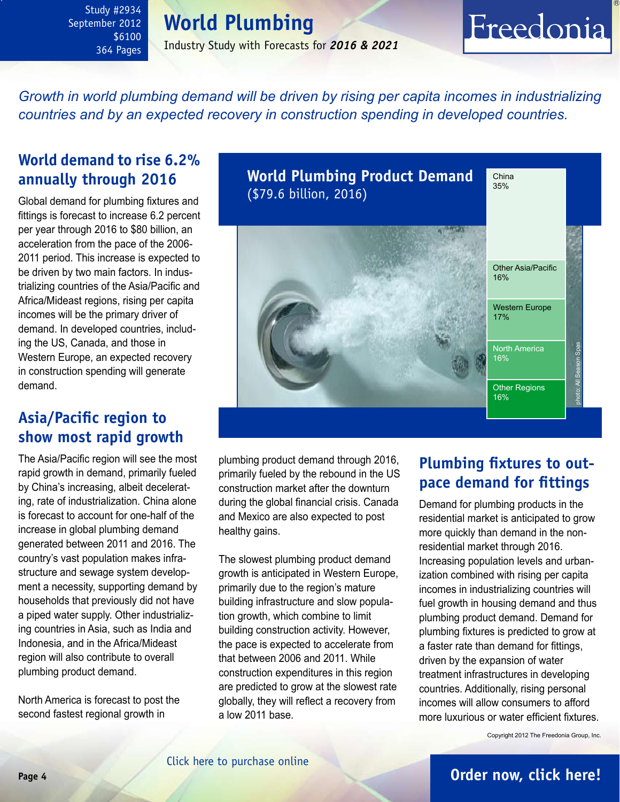## **World Plumbing**

Industry Study with Forecasts for *2016 & 2021*

# Freedonia

<span id="page-3-0"></span>*Growth in world plumbing demand will be driven by rising per capita incomes in industrializing countries and by an expected recovery in construction spending in developed countries.*

## **World demand to rise 6.2% annually through 2016**

Global demand for plumbing fixtures and fittings is forecast to increase 6.2 percent per year through 2016 to \$80 billion, an acceleration from the pace of the 2006- 2011 period. This increase is expected to be driven by two main factors. In industrializing countries of the Asia/Pacific and Africa/Mideast regions, rising per capita incomes will be the primary driver of demand. In developed countries, including the US, Canada, and those in Western Europe, an expected recovery in construction spending will generate demand.

## **Asia/Pacific region to show most rapid growth**

The Asia/Pacific region will see the most rapid growth in demand, primarily fueled by China's increasing, albeit decelerating, rate of industrialization. China alone is forecast to account for one-half of the increase in global plumbing demand generated between 2011 and 2016. The country's vast population makes infrastructure and sewage system development a necessity, supporting demand by households that previously did not have a piped water supply. Other industrializing countries in Asia, such as India and Indonesia, and in the Africa/Mideast region will also contribute to overall plumbing product demand.

North America is forecast to post the second fastest regional growth in



plumbing product demand through 2016, primarily fueled by the rebound in the US construction market after the downturn during the global financial crisis. Canada and Mexico are also expected to post healthy gains.

The slowest plumbing product demand growth is anticipated in Western Europe, primarily due to the region's mature building infrastructure and slow population growth, which combine to limit building construction activity. However, the pace is expected to accelerate from that between 2006 and 2011. While construction expenditures in this region are predicted to grow at the slowest rate globally, they will reflect a recovery from a low 2011 base.

## **Plumbing fixtures to outpace demand for fittings**

Demand for plumbing products in the residential market is anticipated to grow more quickly than demand in the nonresidential market through 2016. Increasing population levels and urbanization combined with rising per capita incomes in industrializing countries will fuel growth in housing demand and thus plumbing product demand. Demand for plumbing fixtures is predicted to grow at a faster rate than demand for fittings, driven by the expansion of water treatment infrastructures in developing countries. Additionally, rising personal incomes will allow consumers to afford more luxurious or water efficient fixtures.

Copyright 2012 The Freedonia Group, Inc.

## **Page 4 [Order now, click here!](#page-6-0)**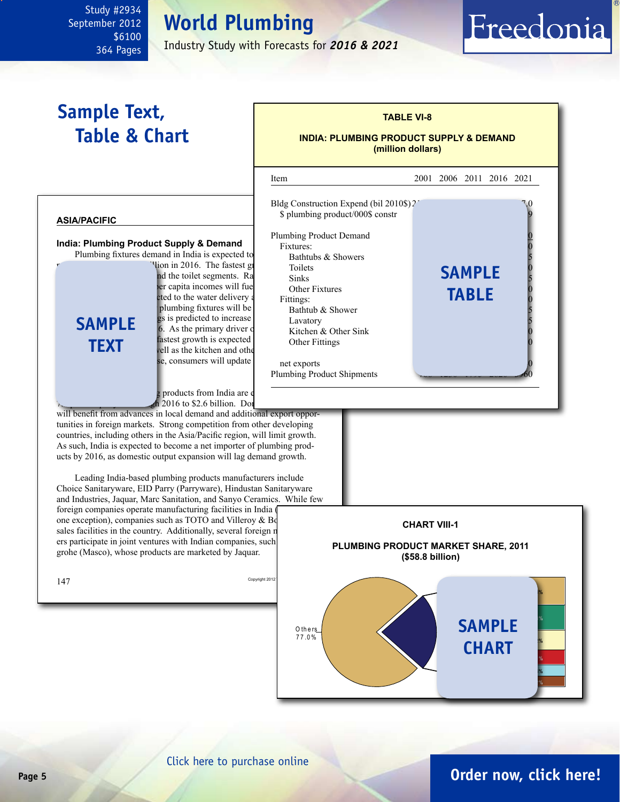# **World Plumbing**

Industry Study with Forecasts for *2016 & 2021*

# Freedonia

<span id="page-4-0"></span>

## **Page 5 [Order now, click here!](#page-6-0)**

[Click here to purchase online](http://www.freedoniagroup.com/DocumentDetails.aspx?Referrerid=FM-Bro&StudyID=2934)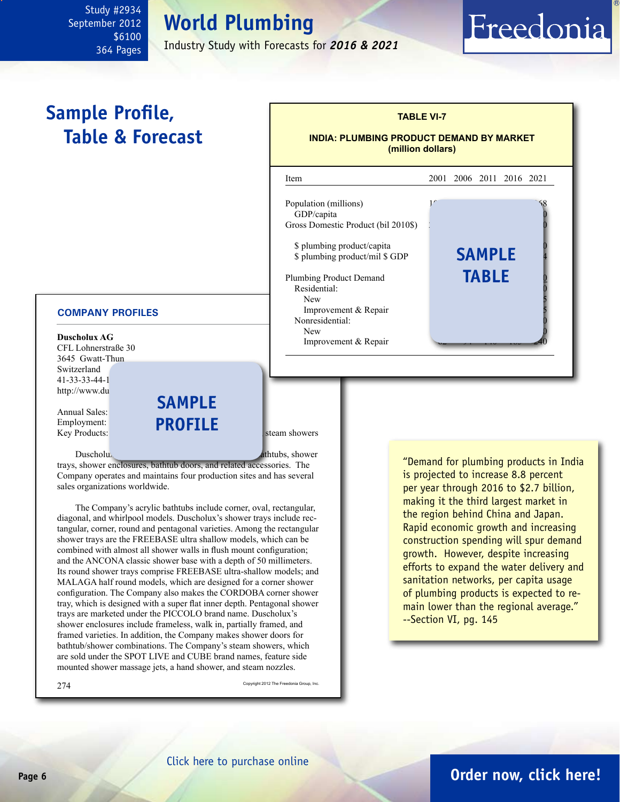# **World Plumbing**

Industry Study with Forecasts for *2016 & 2021*

l

# <span id="page-5-0"></span>**Sample Profile, Table & Forecast**

## **TABLE VI-7 INDIA: PLUMBING PRODUCT DEMAND BY MARKET (million dollars)** Item 2001 2006 2011 2016 2021 Population (millions) GDP/capita Gross Domestic Product (bil 2010\$) \$ plumbing product/capita \$ plumbing product/mil \$ GDP **sample**

Plumbing Product Demand Residential: New  $\sim$  5 Improvement  $&$  Repair Nonresidential: New  $\mathbb{D}$ Improvement  $&$  Repair

#### **COMPANY PROFILES**

**Duscholux AG** CFL Lohnerstraße 30 3645 Gwatt-Thun Switzerland 41-33-33-44-1 http://www.du

Annual Sales: Employment:  $Key Products:$  and  $H = 1$  is the steam showers transfer transfer transfer transfer transfer transfer transfer transfer transfer transfer transfer transfer transfer transfer transfer transfer transfer transfer transfer transfer tra

**sample profile**

Duscholux is a privately held privately held producer of acrylic bathtubs, shower trays, shower enclosures, bathtub doors, and related accessories. The Company operates and maintains four production sites and has several sales organizations worldwide.

 The Company's acrylic bathtubs include corner, oval, rectangular, diagonal, and whirlpool models. Duscholux's shower trays include rectangular, corner, round and pentagonal varieties. Among the rectangular shower trays are the FREEBASE ultra shallow models, which can be combined with almost all shower walls in flush mount configuration; and the ANCONA classic shower base with a depth of 50 millimeters. Its round shower trays comprise FREEBASE ultra-shallow models; and MALAGA half round models, which are designed for a corner shower configuration. The Company also makes the CORDOBA corner shower tray, which is designed with a super flat inner depth. Pentagonal shower trays are marketed under the PICCOLO brand name. Duscholux's shower enclosures include frameless, walk in, partially framed, and framed varieties. In addition, the Company makes shower doors for bathtub/shower combinations. The Company's steam showers, which are sold under the SPOT LIVE and CUBE brand names, feature side mounted shower massage jets, a hand shower, and steam nozzles.

 $274$  Copyright 2012 The Freedonia Group, Inc.

"Demand for plumbing products in India is projected to increase 8.8 percent per year through 2016 to \$2.7 billion, making it the third largest market in the region behind China and Japan. Rapid economic growth and increasing construction spending will spur demand growth. However, despite increasing efforts to expand the water delivery and sanitation networks, per capita usage of plumbing products is expected to remain lower than the regional average." --Section VI, pg. 145

**table**

Freedonia

## **Page 6 [Order now, click here!](#page-6-0)**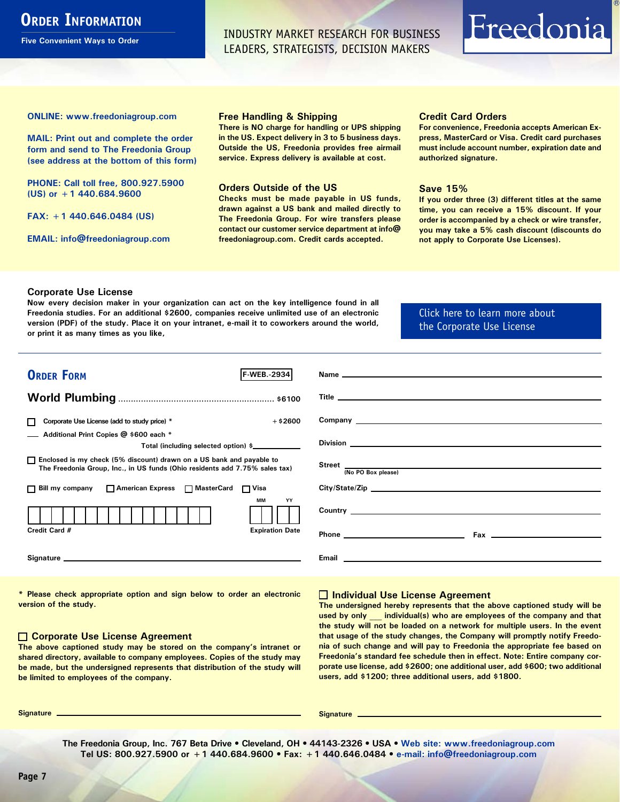## <span id="page-6-0"></span>**ORDER INFORMATION**

**Five Convenient Ways to Order**

INDUSTRY MARKET RESEARCH FOR BUSINESS LEADERS, STRATEGISTS, DECISION MAKERS

# Freedonia

**ONLINE: [www.freedoniagroup.com](http://www.freedoniagroup.com/DocumentDetails.aspx?Referrerid=FM-Bro&StudyID=2934)**

**MAIL: Print out and complete the order form and send to The Freedonia Group (see address at the bottom of this form)**

**PHONE: Call toll free, 800.927.5900 (US) or +1 440.684.9600**

**FAX: +1 440.646.0484 (US)**

**EMAIL: [info@freedoniagroup.com](mailto:info@freedoniagroup.com)**

#### **Free Handling & Shipping**

**There is NO charge for handling or UPS shipping in the US. Expect delivery in 3 to 5 business days. Outside the US, Freedonia provides free airmail service. Express delivery is available at cost.**

#### **Orders Outside of the US**

**Checks must be made payable in US funds, drawn against a US bank and mailed directly to The Freedonia Group. For wire transfers please contact our customer service department at info@ freedoniagroup.com. Credit cards accepted.**

#### **Credit Card Orders**

**For convenience, Freedonia accepts American Express, MasterCard or Visa. Credit card purchases must include account number, expiration date and authorized signature.**

#### **Save 15%**

**If you order three (3) different titles at the same time, you can receive a 15% discount. If your order is accompanied by a check or wire transfer, you may take a 5% cash discount (discounts do not apply to Corporate Use Licenses).**

#### **Corporate Use License**

**Now every decision maker in your organization can act on the key intelligence found in all Freedonia studies. For an additional \$2600, companies receive unlimited use of an electronic version (PDF) of the study. Place it on your intranet, e-mail it to coworkers around the world, or print it as many times as you like,** 

## [Click here to learn more about](http://www.freedoniagroup.com/pdf/FreedoniaCULBro.pdf)  [the Corporate Use License](http://www.freedoniagroup.com/pdf/FreedoniaCULBro.pdf)

| <b>ORDER FORM</b><br><b>F-WEB.-2934</b>                                                                                                                                                                                        |                           |
|--------------------------------------------------------------------------------------------------------------------------------------------------------------------------------------------------------------------------------|---------------------------|
|                                                                                                                                                                                                                                |                           |
|                                                                                                                                                                                                                                |                           |
|                                                                                                                                                                                                                                |                           |
| $+$ \$2600<br>Corporate Use License (add to study price) *                                                                                                                                                                     |                           |
| Additional Print Copies @ \$600 each *                                                                                                                                                                                         |                           |
| Total (including selected option) \$                                                                                                                                                                                           |                           |
| □ Enclosed is my check (5% discount) drawn on a US bank and payable to<br>The Freedonia Group, Inc., in US funds (Ohio residents add 7.75% sales tax)                                                                          | Street  Mo PO Box please) |
|                                                                                                                                                                                                                                |                           |
| □ Bill my company □ American Express □ MasterCard □ Visa                                                                                                                                                                       |                           |
| <b>MM</b><br>YY                                                                                                                                                                                                                |                           |
| Credit Card #<br><b>Expiration Date</b>                                                                                                                                                                                        |                           |
| Signature experience and the state of the state of the state of the state of the state of the state of the state of the state of the state of the state of the state of the state of the state of the state of the state of th |                           |

**\* Please check appropriate option and sign below to order an electronic version of the study.**

#### **Corporate Use License Agreement**

**The above captioned study may be stored on the company's intranet or shared directory, available to company employees. Copies of the study may be made, but the undersigned represents that distribution of the study will be limited to employees of the company.**

#### **Individual Use License Agreement**

**The undersigned hereby represents that the above captioned study will be used by only \_\_\_ individual(s) who are employees of the company and that the study will not be loaded on a network for multiple users. In the event that usage of the study changes, the Company will promptly notify Freedonia of such change and will pay to Freedonia the appropriate fee based on Freedonia's standard fee schedule then in effect. Note: Entire company corporate use license, add \$2600; one additional user, add \$600; two additional users, add \$1200; three additional users, add \$1800.**

**Signature Signature**

**The Freedonia Group, Inc. 767 Beta Drive • Cleveland, OH • 44143-2326 • USA • [Web site: www.freedoniagroup.com](http://www.freedoniagroup.com/Home.aspx?ReferrerId=FM-Bro) Tel US: 800.927.5900 or +1 440.684.9600 • Fax: +1 440.646.0484 • [e-mail: info@freedoniagroup.com](mailto:info@freedoniagroup.com)**